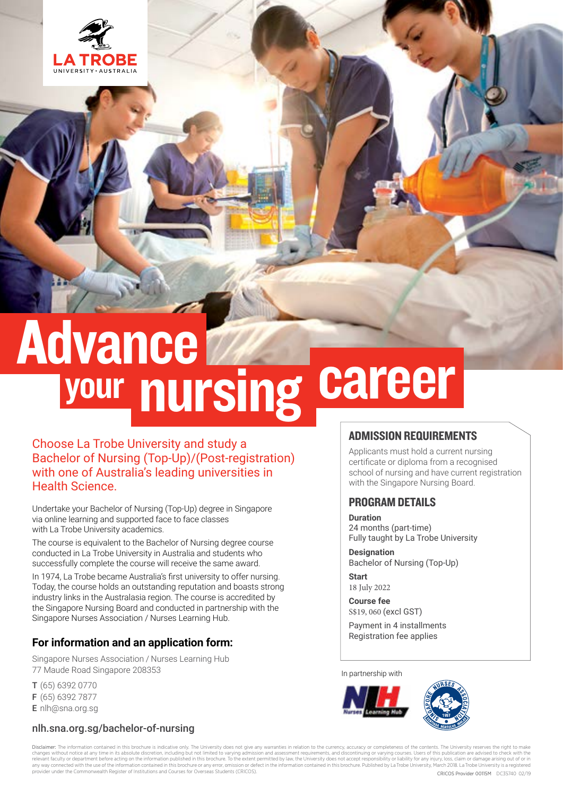

# **Advance** your nursing career

## Choose La Trobe University and study a Bachelor of Nursing (Top-Up)/(Post-registration) with one of Australia's leading universities in Health Science.

Undertake your Bachelor of Nursing (Top-Up) degree in Singapore via online learning and supported face to face classes with La Trobe University academics.

The course is equivalent to the Bachelor of Nursing degree course conducted in La Trobe University in Australia and students who successfully complete the course will receive the same award.

In 1974, La Trobe became Australia's first university to offer nursing. Today, the course holds an outstanding reputation and boasts strong industry links in the Australasia region. The course is accredited by the Singapore Nursing Board and conducted in partnership with the Singapore Nurses Association / Nurses Learning Hub.

## **For information and an application form:**

Singapore Nurses Association / Nurses Learning Hub 77 Maude Road Singapore 208353

- T (65) 6392 0770 F (65) 6392 7877
- E [nlh@sna.org.sg](mailto:nlh%40sna.org.sg?subject=)

## nlh.sna.org.sg/bachelor-of-nursing

## ADMISSION REQUIREMENTS

Applicants must hold a current nursing certificate or diploma from a recognised school of nursing and have current registration with the Singapore Nursing Board.

### PROGRAM DETAILS

#### **Duration**

24 months (part-time) Fully taught by La Trobe University

**Designation** Bachelor of Nursing (Top-Up)

**Start** 18 July 2022

**Course fee** S\$19, 060 (excl GST)

Payment in 4 installments Registration fee applies

#### In partnership with





Disclaimer: The information contained in this brochure is indicative only. The University does not give any warranties in relation to the currency, accuracy or completeness of the contents. The University reserves the righ changes without notice at any time in its absolute discretion, including but not limited to varying admission and assessment requirements, and discontinuing or varying courses. Users of this publication are advised to chec provider under the Commonwealth Register of Institutions and Courses for Overseas Students (CRICOS). CRICOS Provider 00115M DC35740 02/19